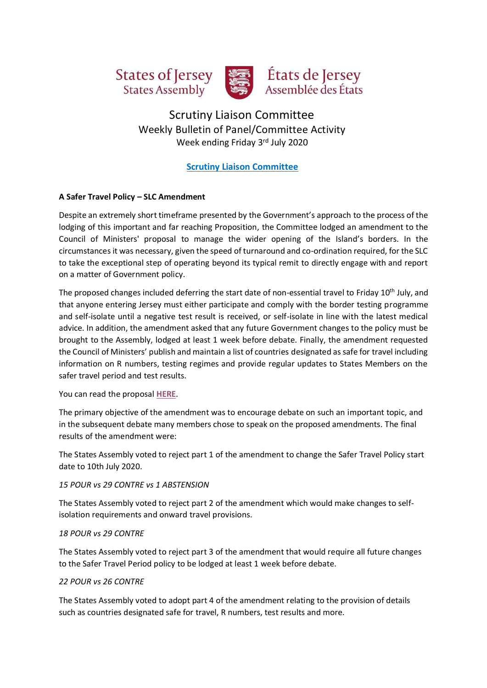



# États de Jersey<br>Assemblée des États

## Scrutiny Liaison Committee Weekly Bulletin of Panel/Committee Activity Week ending Friday 3rd July 2020

## **Scrutiny Liaison Committee**

## **A Safer Travel Policy – SLC Amendment**

Despite an extremely short timeframe presented by the Government's approach to the process of the lodging of this important and far reaching Proposition, the Committee lodged an amendment to the Council of Ministers' proposal to manage the wider opening of the Island's borders. In the circumstances it was necessary, given the speed of turnaround and co-ordination required, for the SLC to take the exceptional step of operating beyond its typical remit to directly engage with and report on a matter of Government policy.

The proposed changes included deferring the start date of non-essential travel to Friday 10<sup>th</sup> July, and that anyone entering Jersey must either participate and comply with the border testing programme and self-isolate until a negative test result is received, or self-isolate in line with the latest medical advice. In addition, the amendment asked that any future Government changes to the policy must be brought to the Assembly, lodged at least 1 week before debate. Finally, the amendment requested the Council of Ministers' publish and maintain a list of countries designated as safe for travel including information on R numbers, testing regimes and provide regular updates to States Members on the safer travel period and test results.

You can read the proposal **[HERE](https://statesassembly.gov.je/assemblypropositions/2020/p.84-2020amd(2).pdf)**.

The primary objective of the amendment was to encourage debate on such an important topic, and in the subsequent debate many members chose to speak on the proposed amendments. The final results of the amendment were:

The States Assembly voted to reject part 1 of the amendment to change the Safer Travel Policy start date to 10th July 2020.

## *15 POUR vs 29 CONTRE vs 1 ABSTENSION*

The States Assembly voted to reject part 2 of the amendment which would make changes to selfisolation requirements and onward travel provisions.

#### *18 POUR vs 29 CONTRE*

The States Assembly voted to reject part 3 of the amendment that would require all future changes to the Safer Travel Period policy to be lodged at least 1 week before debate.

## *22 POUR vs 26 CONTRE*

The States Assembly voted to adopt part 4 of the amendment relating to the provision of details such as countries designated safe for travel, R numbers, test results and more.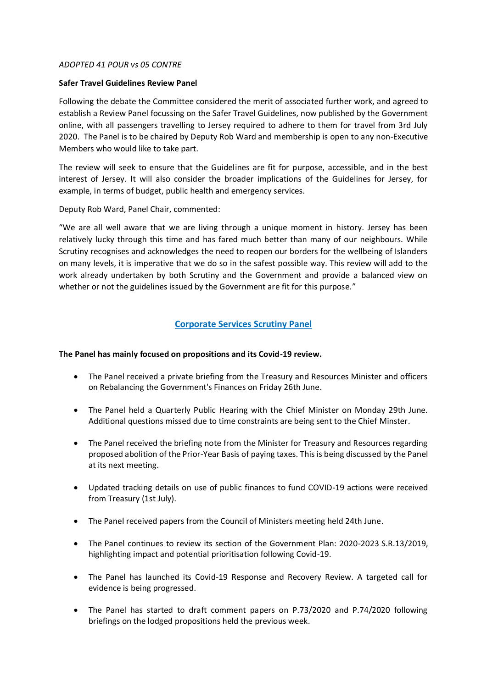#### *ADOPTED 41 POUR vs 05 CONTRE*

#### **Safer Travel Guidelines Review Panel**

Following the debate the Committee considered the merit of associated further work, and agreed to establish a Review Panel focussing on the Safer Travel Guidelines, now published by the Government online, with all passengers travelling to Jersey required to adhere to them for travel from 3rd July 2020. The Panel is to be chaired by Deputy Rob Ward and membership is open to any non-Executive Members who would like to take part.

The review will seek to ensure that the Guidelines are fit for purpose, accessible, and in the best interest of Jersey. It will also consider the broader implications of the Guidelines for Jersey, for example, in terms of budget, public health and emergency services.

Deputy Rob Ward, Panel Chair, commented:

"We are all well aware that we are living through a unique moment in history. Jersey has been relatively lucky through this time and has fared much better than many of our neighbours. While Scrutiny recognises and acknowledges the need to reopen our borders for the wellbeing of Islanders on many levels, it is imperative that we do so in the safest possible way. This review will add to the work already undertaken by both Scrutiny and the Government and provide a balanced view on whether or not the guidelines issued by the Government are fit for this purpose."

## **Corporate Services Scrutiny Panel**

#### **The Panel has mainly focused on propositions and its Covid-19 review.**

- The Panel received a private briefing from the Treasury and Resources Minister and officers on Rebalancing the Government's Finances on Friday 26th June.
- The Panel held a Quarterly Public Hearing with the Chief Minister on Monday 29th June. Additional questions missed due to time constraints are being sent to the Chief Minster.
- The Panel received the briefing note from the Minister for Treasury and Resources regarding proposed abolition of the Prior-Year Basis of paying taxes. This is being discussed by the Panel at its next meeting.
- Updated tracking details on use of public finances to fund COVID-19 actions were received from Treasury (1st July).
- The Panel received papers from the Council of Ministers meeting held 24th June.
- The Panel continues to review its section of the Government Plan: 2020-2023 S.R.13/2019, highlighting impact and potential prioritisation following Covid-19.
- The Panel has launched its Covid-19 Response and Recovery Review. A targeted call for evidence is being progressed.
- The Panel has started to draft comment papers on P.73/2020 and P.74/2020 following briefings on the lodged propositions held the previous week.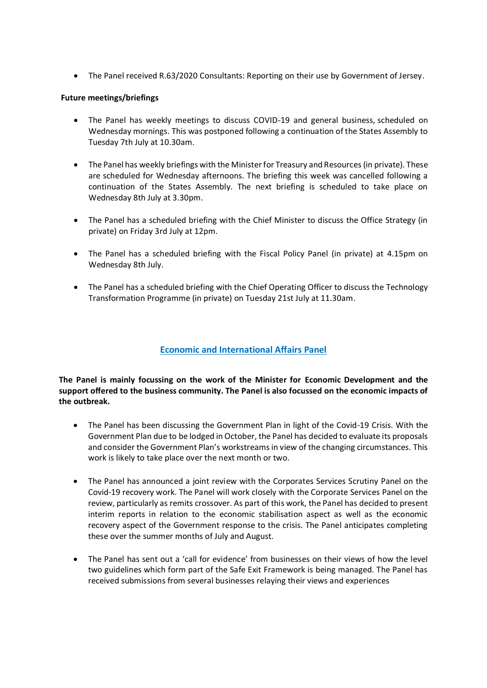• The Panel received R.63/2020 Consultants: Reporting on their use by Government of Jersey.

## **Future meetings/briefings**

- The Panel has weekly meetings to discuss COVID-19 and general business, scheduled on Wednesday mornings. This was postponed following a continuation of the States Assembly to Tuesday 7th July at 10.30am.
- The Panel has weekly briefings with the Minister for Treasury and Resources (in private). These are scheduled for Wednesday afternoons. The briefing this week was cancelled following a continuation of the States Assembly. The next briefing is scheduled to take place on Wednesday 8th July at 3.30pm.
- The Panel has a scheduled briefing with the Chief Minister to discuss the Office Strategy (in private) on Friday 3rd July at 12pm.
- The Panel has a scheduled briefing with the Fiscal Policy Panel (in private) at 4.15pm on Wednesday 8th July.
- The Panel has a scheduled briefing with the Chief Operating Officer to discuss the Technology Transformation Programme (in private) on Tuesday 21st July at 11.30am.

## **Economic and International Affairs Panel**

**The Panel is mainly focussing on the work of the Minister for Economic Development and the support offered to the business community. The Panel is also focussed on the economic impacts of the outbreak.**

- The Panel has been discussing the Government Plan in light of the Covid-19 Crisis. With the Government Plan due to be lodged in October, the Panel has decided to evaluate its proposals and consider the Government Plan's workstreams in view of the changing circumstances. This work is likely to take place over the next month or two.
- The Panel has announced a joint review with the Corporates Services Scrutiny Panel on the Covid-19 recovery work. The Panel will work closely with the Corporate Services Panel on the review, particularly as remits crossover. As part of this work, the Panel has decided to present interim reports in relation to the economic stabilisation aspect as well as the economic recovery aspect of the Government response to the crisis. The Panel anticipates completing these over the summer months of July and August.
- The Panel has sent out a 'call for evidence' from businesses on their views of how the level two guidelines which form part of the Safe Exit Framework is being managed. The Panel has received submissions from several businesses relaying their views and experiences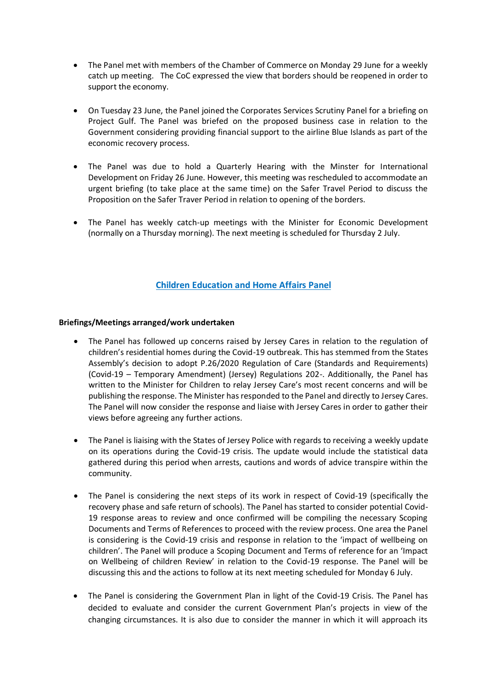- The Panel met with members of the Chamber of Commerce on Monday 29 June for a weekly catch up meeting. The CoC expressed the view that borders should be reopened in order to support the economy.
- On Tuesday 23 June, the Panel joined the Corporates Services Scrutiny Panel for a briefing on Project Gulf. The Panel was briefed on the proposed business case in relation to the Government considering providing financial support to the airline Blue Islands as part of the economic recovery process.
- The Panel was due to hold a Quarterly Hearing with the Minster for International Development on Friday 26 June. However, this meeting was rescheduled to accommodate an urgent briefing (to take place at the same time) on the Safer Travel Period to discuss the Proposition on the Safer Traver Period in relation to opening of the borders.
- The Panel has weekly catch-up meetings with the Minister for Economic Development (normally on a Thursday morning). The next meeting is scheduled for Thursday 2 July.

## **Children Education and Home Affairs Panel**

#### **Briefings/Meetings arranged/work undertaken**

- The Panel has followed up concerns raised by Jersey Cares in relation to the regulation of children's residential homes during the Covid-19 outbreak. This has stemmed from the States Assembly's decision to adopt P.26/2020 Regulation of Care (Standards and Requirements) (Covid-19 – Temporary Amendment) (Jersey) Regulations 202-. Additionally, the Panel has written to the Minister for Children to relay Jersey Care's most recent concerns and will be publishing the response. The Minister has responded to the Panel and directly to Jersey Cares. The Panel will now consider the response and liaise with Jersey Cares in order to gather their views before agreeing any further actions.
- The Panel is liaising with the States of Jersey Police with regards to receiving a weekly update on its operations during the Covid-19 crisis. The update would include the statistical data gathered during this period when arrests, cautions and words of advice transpire within the community.
- The Panel is considering the next steps of its work in respect of Covid-19 (specifically the recovery phase and safe return of schools). The Panel has started to consider potential Covid-19 response areas to review and once confirmed will be compiling the necessary Scoping Documents and Terms of References to proceed with the review process. One area the Panel is considering is the Covid-19 crisis and response in relation to the 'impact of wellbeing on children'. The Panel will produce a Scoping Document and Terms of reference for an 'Impact on Wellbeing of children Review' in relation to the Covid-19 response. The Panel will be discussing this and the actions to follow at its next meeting scheduled for Monday 6 July.
- The Panel is considering the Government Plan in light of the Covid-19 Crisis. The Panel has decided to evaluate and consider the current Government Plan's projects in view of the changing circumstances. It is also due to consider the manner in which it will approach its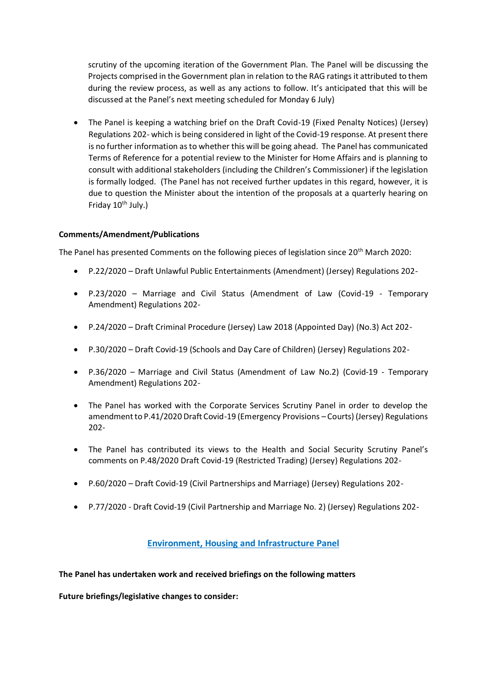scrutiny of the upcoming iteration of the Government Plan. The Panel will be discussing the Projects comprised in the Government plan in relation to the RAG ratings it attributed to them during the review process, as well as any actions to follow. It's anticipated that this will be discussed at the Panel's next meeting scheduled for Monday 6 July)

• The Panel is keeping a watching brief on the Draft Covid-19 (Fixed Penalty Notices) (Jersey) Regulations 202- which is being considered in light of the Covid-19 response. At present there is no further information as to whether this will be going ahead. The Panel has communicated Terms of Reference for a potential review to the Minister for Home Affairs and is planning to consult with additional stakeholders (including the Children's Commissioner) if the legislation is formally lodged. (The Panel has not received further updates in this regard, however, it is due to question the Minister about the intention of the proposals at a quarterly hearing on Friday  $10^{th}$  July.)

## **Comments/Amendment/Publications**

The Panel has presented Comments on the following pieces of legislation since 20<sup>th</sup> March 2020:

- P.22/2020 Draft Unlawful Public Entertainments (Amendment) (Jersey) Regulations 202-
- P.23/2020 Marriage and Civil Status (Amendment of Law (Covid-19 Temporary Amendment) Regulations 202-
- P.24/2020 Draft Criminal Procedure (Jersey) Law 2018 (Appointed Day) (No.3) Act 202-
- P.30/2020 Draft Covid-19 (Schools and Day Care of Children) (Jersey) Regulations 202-
- P.36/2020 Marriage and Civil Status (Amendment of Law No.2) (Covid-19 Temporary Amendment) Regulations 202-
- The Panel has worked with the Corporate Services Scrutiny Panel in order to develop the amendment to P.41/2020 Draft Covid-19 (Emergency Provisions – Courts) (Jersey) Regulations 202-
- The Panel has contributed its views to the Health and Social Security Scrutiny Panel's comments on P.48/2020 Draft Covid-19 (Restricted Trading) (Jersey) Regulations 202-
- P.60/2020 Draft Covid-19 (Civil Partnerships and Marriage) (Jersey) Regulations 202-
- P.77/2020 Draft Covid-19 (Civil Partnership and Marriage No. 2) (Jersey) Regulations 202-

## **Environment, Housing and Infrastructure Panel**

#### **The Panel has undertaken work and received briefings on the following matters**

**Future briefings/legislative changes to consider:**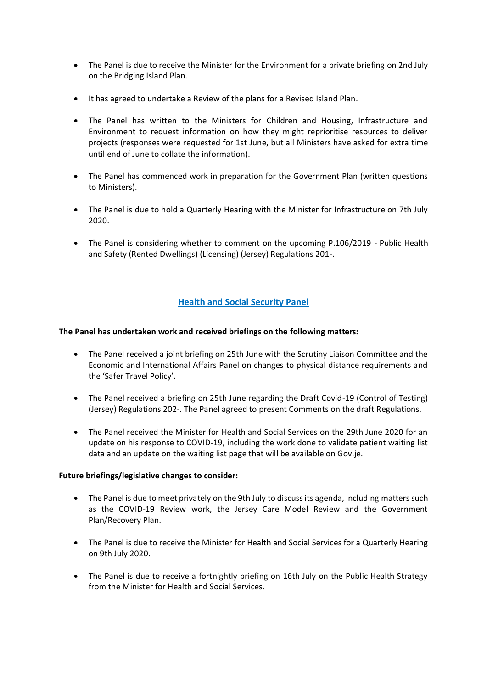- The Panel is due to receive the Minister for the Environment for a private briefing on 2nd July on the Bridging Island Plan.
- It has agreed to undertake a Review of the plans for a Revised Island Plan.
- The Panel has written to the Ministers for Children and Housing, Infrastructure and Environment to request information on how they might reprioritise resources to deliver projects (responses were requested for 1st June, but all Ministers have asked for extra time until end of June to collate the information).
- The Panel has commenced work in preparation for the Government Plan (written questions to Ministers).
- The Panel is due to hold a Quarterly Hearing with the Minister for Infrastructure on 7th July 2020.
- The Panel is considering whether to comment on the upcoming P.106/2019 Public Health and Safety (Rented Dwellings) (Licensing) (Jersey) Regulations 201-.

## **Health and Social Security Panel**

## **The Panel has undertaken work and received briefings on the following matters:**

- The Panel received a joint briefing on 25th June with the Scrutiny Liaison Committee and the Economic and International Affairs Panel on changes to physical distance requirements and the 'Safer Travel Policy'.
- The Panel received a briefing on 25th June regarding the Draft Covid-19 (Control of Testing) (Jersey) Regulations 202-. The Panel agreed to present Comments on the draft Regulations.
- The Panel received the Minister for Health and Social Services on the 29th June 2020 for an update on his response to COVID-19, including the work done to validate patient waiting list data and an update on the waiting list page that will be available on Gov.je.

#### **Future briefings/legislative changes to consider:**

- The Panel is due to meet privately on the 9th July to discuss its agenda, including matters such as the COVID-19 Review work, the Jersey Care Model Review and the Government Plan/Recovery Plan.
- The Panel is due to receive the Minister for Health and Social Services for a Quarterly Hearing on 9th July 2020.
- The Panel is due to receive a fortnightly briefing on 16th July on the Public Health Strategy from the Minister for Health and Social Services.